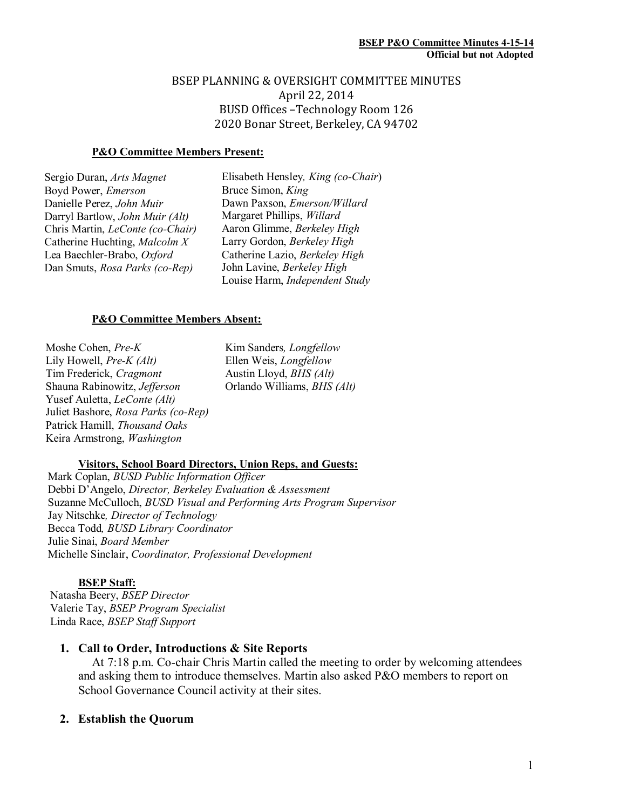## BSEP PLANNING & OVERSIGHT COMMITTEE MINUTES April 22, 2014 BUSD Offices –Technology Room 126 2020 Bonar Street, Berkeley, CA 94702

## **P&O Committee Members Present:**

| Sergio Duran, Arts Magnet              |
|----------------------------------------|
| Boyd Power, <i>Emerson</i>             |
| Danielle Perez, John Muir              |
| Darryl Bartlow, <i>John Muir (Alt)</i> |
| Chris Martin, LeConte (co-Chair)       |
| Catherine Huchting, Malcolm X          |
| Lea Baechler-Brabo, Oxford             |
| Dan Smuts, Rosa Parks (co-Rep)         |
|                                        |

Elisabeth Hensley*, King (co-Chair*) Bruce Simon, *King*  Dawn Paxson, *Emerson/Willard*  Margaret Phillips, *Willard*  Aaron Glimme, *Berkeley High*  Larry Gordon, *Berkeley High*  Catherine Lazio, *Berkeley High* John Lavine, *Berkeley High* Louise Harm, *Independent Study* 

## **P&O Committee Members Absent:**

Moshe Cohen, *Pre-K*  Lily Howell, *Pre-K (Alt)*  Tim Frederick, *Cragmont* Shauna Rabinowitz, *Jefferson*  Yusef Auletta, *LeConte (Alt)*  Juliet Bashore, *Rosa Parks (co-Rep)*  Patrick Hamill, *Thousand Oaks*  Keira Armstrong, *Washington* 

Kim Sanders*, Longfellow* Ellen Weis, *Longfellow*  Austin Lloyd, *BHS (Alt)* Orlando Williams, *BHS (Alt)* 

### **Visitors, School Board Directors, Union Reps, and Guests:**

Mark Coplan, *BUSD Public Information Officer*  Debbi D'Angelo, *Director, Berkeley Evaluation & Assessment*  Suzanne McCulloch, *BUSD Visual and Performing Arts Program Supervisor* Jay Nitschke*, Director of Technology*  Becca Todd*, BUSD Library Coordinator* Julie Sinai, *Board Member*  Michelle Sinclair, *Coordinator, Professional Development* 

### **BSEP Staff:**

 Natasha Beery, *BSEP Director* Valerie Tay, *BSEP Program Specialist*  Linda Race, *BSEP Staff Support* 

## **1. Call to Order, Introductions & Site Reports**

At 7:18 p.m. Co-chair Chris Martin called the meeting to order by welcoming attendees and asking them to introduce themselves. Martin also asked P&O members to report on School Governance Council activity at their sites.

## **2. Establish the Quorum**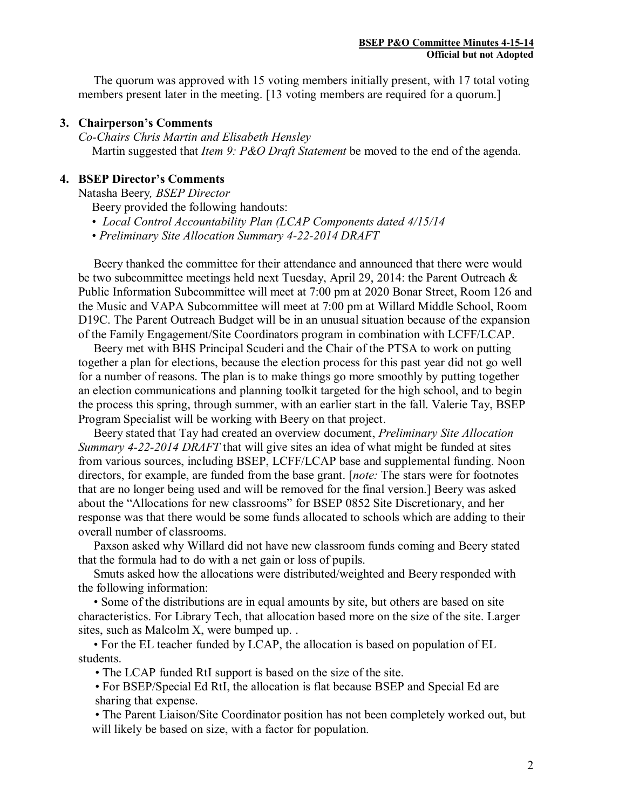The quorum was approved with 15 voting members initially present, with 17 total voting members present later in the meeting. [13 voting members are required for a quorum.]

## **3. Chairperson's Comments**

*Co-Chairs Chris Martin and Elisabeth Hensley* Martin suggested that *Item 9: P&O Draft Statement* be moved to the end of the agenda.

## **4. BSEP Director's Comments**

Natasha Beery*, BSEP Director* 

Beery provided the following handouts:

• *Local Control Accountability Plan (LCAP Components dated 4/15/14* 

• *Preliminary Site Allocation Summary 4-22-2014 DRAFT*

 Beery thanked the committee for their attendance and announced that there were would be two subcommittee meetings held next Tuesday, April 29, 2014: the Parent Outreach & Public Information Subcommittee will meet at 7:00 pm at 2020 Bonar Street, Room 126 and the Music and VAPA Subcommittee will meet at 7:00 pm at Willard Middle School, Room D19C. The Parent Outreach Budget will be in an unusual situation because of the expansion of the Family Engagement/Site Coordinators program in combination with LCFF/LCAP.

 Beery met with BHS Principal Scuderi and the Chair of the PTSA to work on putting together a plan for elections, because the election process for this past year did not go well for a number of reasons. The plan is to make things go more smoothly by putting together an election communications and planning toolkit targeted for the high school, and to begin the process this spring, through summer, with an earlier start in the fall. Valerie Tay, BSEP Program Specialist will be working with Beery on that project.

 Beery stated that Tay had created an overview document, *Preliminary Site Allocation Summary 4-22-2014 DRAFT* that will give sites an idea of what might be funded at sites from various sources, including BSEP, LCFF/LCAP base and supplemental funding. Noon directors, for example, are funded from the base grant. [*note:* The stars were for footnotes that are no longer being used and will be removed for the final version.] Beery was asked about the "Allocations for new classrooms" for BSEP 0852 Site Discretionary, and her response was that there would be some funds allocated to schools which are adding to their overall number of classrooms.

 Paxson asked why Willard did not have new classroom funds coming and Beery stated that the formula had to do with a net gain or loss of pupils.

 Smuts asked how the allocations were distributed/weighted and Beery responded with the following information:

 • Some of the distributions are in equal amounts by site, but others are based on site characteristics. For Library Tech, that allocation based more on the size of the site. Larger sites, such as Malcolm X, were bumped up. .

 • For the EL teacher funded by LCAP, the allocation is based on population of EL students.

• The LCAP funded RtI support is based on the size of the site.

 • For BSEP/Special Ed RtI, the allocation is flat because BSEP and Special Ed are sharing that expense.

 • The Parent Liaison/Site Coordinator position has not been completely worked out, but will likely be based on size, with a factor for population.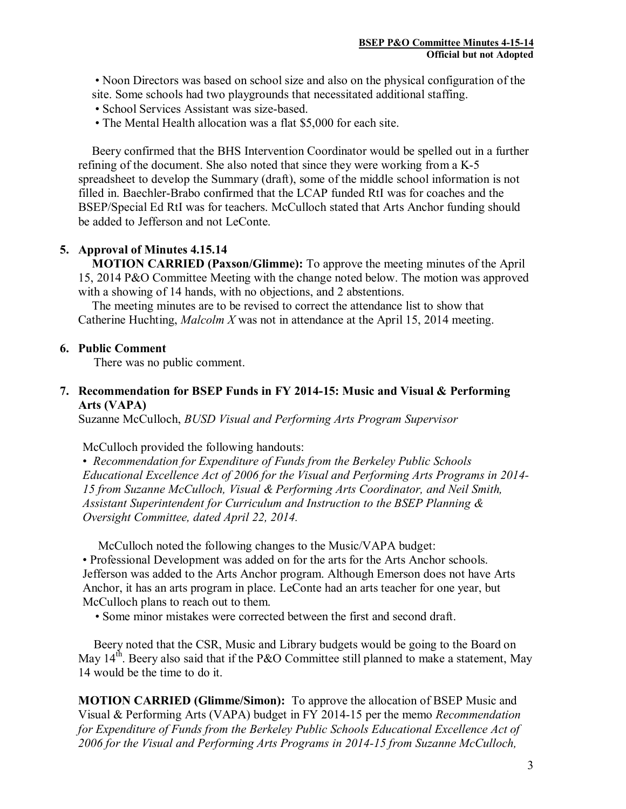• Noon Directors was based on school size and also on the physical configuration of the site. Some schools had two playgrounds that necessitated additional staffing.

- School Services Assistant was size-based.
- The Mental Health allocation was a flat \$5,000 for each site.

Beery confirmed that the BHS Intervention Coordinator would be spelled out in a further refining of the document. She also noted that since they were working from a K-5 spreadsheet to develop the Summary (draft), some of the middle school information is not filled in. Baechler-Brabo confirmed that the LCAP funded RtI was for coaches and the BSEP/Special Ed RtI was for teachers. McCulloch stated that Arts Anchor funding should be added to Jefferson and not LeConte.

# **5. Approval of Minutes 4.15.14**

**MOTION CARRIED (Paxson/Glimme):** To approve the meeting minutes of the April 15, 2014 P&O Committee Meeting with the change noted below. The motion was approved with a showing of 14 hands, with no objections, and 2 abstentions.

The meeting minutes are to be revised to correct the attendance list to show that Catherine Huchting, *Malcolm X* was not in attendance at the April 15, 2014 meeting.

# **6. Public Comment**

There was no public comment.

# **7. Recommendation for BSEP Funds in FY 2014-15: Music and Visual & Performing Arts (VAPA)**

Suzanne McCulloch, *BUSD Visual and Performing Arts Program Supervisor*

## McCulloch provided the following handouts:

• *Recommendation for Expenditure of Funds from the Berkeley Public Schools Educational Excellence Act of 2006 for the Visual and Performing Arts Programs in 2014- 15 from Suzanne McCulloch, Visual & Performing Arts Coordinator, and Neil Smith, Assistant Superintendent for Curriculum and Instruction to the BSEP Planning & Oversight Committee, dated April 22, 2014.* 

McCulloch noted the following changes to the Music/VAPA budget:

• Professional Development was added on for the arts for the Arts Anchor schools. Jefferson was added to the Arts Anchor program. Although Emerson does not have Arts Anchor, it has an arts program in place. LeConte had an arts teacher for one year, but McCulloch plans to reach out to them.

• Some minor mistakes were corrected between the first and second draft.

 Beery noted that the CSR, Music and Library budgets would be going to the Board on May  $14<sup>th</sup>$ . Beery also said that if the P&O Committee still planned to make a statement, May 14 would be the time to do it.

**MOTION CARRIED (Glimme/Simon):** To approve the allocation of BSEP Music and Visual & Performing Arts (VAPA) budget in FY 2014-15 per the memo *Recommendation for Expenditure of Funds from the Berkeley Public Schools Educational Excellence Act of 2006 for the Visual and Performing Arts Programs in 2014-15 from Suzanne McCulloch,*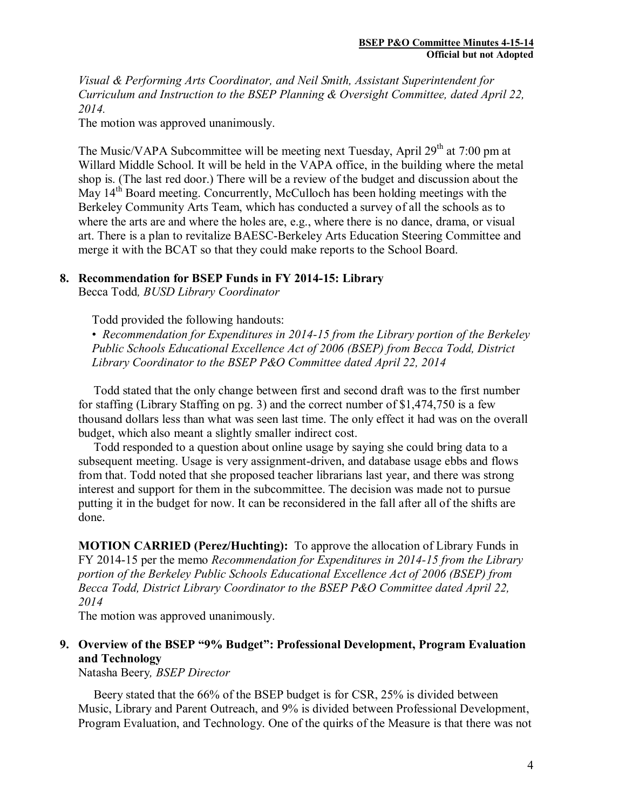*Visual & Performing Arts Coordinator, and Neil Smith, Assistant Superintendent for Curriculum and Instruction to the BSEP Planning & Oversight Committee, dated April 22, 2014.*

The motion was approved unanimously.

The Music/VAPA Subcommittee will be meeting next Tuesday, April 29<sup>th</sup> at 7:00 pm at Willard Middle School. It will be held in the VAPA office, in the building where the metal shop is. (The last red door.) There will be a review of the budget and discussion about the May  $14<sup>th</sup>$  Board meeting. Concurrently, McCulloch has been holding meetings with the Berkeley Community Arts Team, which has conducted a survey of all the schools as to where the arts are and where the holes are, e.g., where there is no dance, drama, or visual art. There is a plan to revitalize BAESC-Berkeley Arts Education Steering Committee and merge it with the BCAT so that they could make reports to the School Board.

# **8. Recommendation for BSEP Funds in FY 2014-15: Library**

Becca Todd*, BUSD Library Coordinator*

Todd provided the following handouts:

• *Recommendation for Expenditures in 2014-15 from the Library portion of the Berkeley Public Schools Educational Excellence Act of 2006 (BSEP) from Becca Todd, District Library Coordinator to the BSEP P&O Committee dated April 22, 2014* 

 Todd stated that the only change between first and second draft was to the first number for staffing (Library Staffing on pg. 3) and the correct number of \$1,474,750 is a few thousand dollars less than what was seen last time. The only effect it had was on the overall budget, which also meant a slightly smaller indirect cost.

 Todd responded to a question about online usage by saying she could bring data to a subsequent meeting. Usage is very assignment-driven, and database usage ebbs and flows from that. Todd noted that she proposed teacher librarians last year, and there was strong interest and support for them in the subcommittee. The decision was made not to pursue putting it in the budget for now. It can be reconsidered in the fall after all of the shifts are done.

**MOTION CARRIED (Perez/Huchting):** To approve the allocation of Library Funds in FY 2014-15 per the memo *Recommendation for Expenditures in 2014-15 from the Library portion of the Berkeley Public Schools Educational Excellence Act of 2006 (BSEP) from Becca Todd, District Library Coordinator to the BSEP P&O Committee dated April 22, 2014*

The motion was approved unanimously.

# **9. Overview of the BSEP "9% Budget": Professional Development, Program Evaluation and Technology**

Natasha Beery*, BSEP Director* 

 Beery stated that the 66% of the BSEP budget is for CSR, 25% is divided between Music, Library and Parent Outreach, and 9% is divided between Professional Development, Program Evaluation, and Technology. One of the quirks of the Measure is that there was not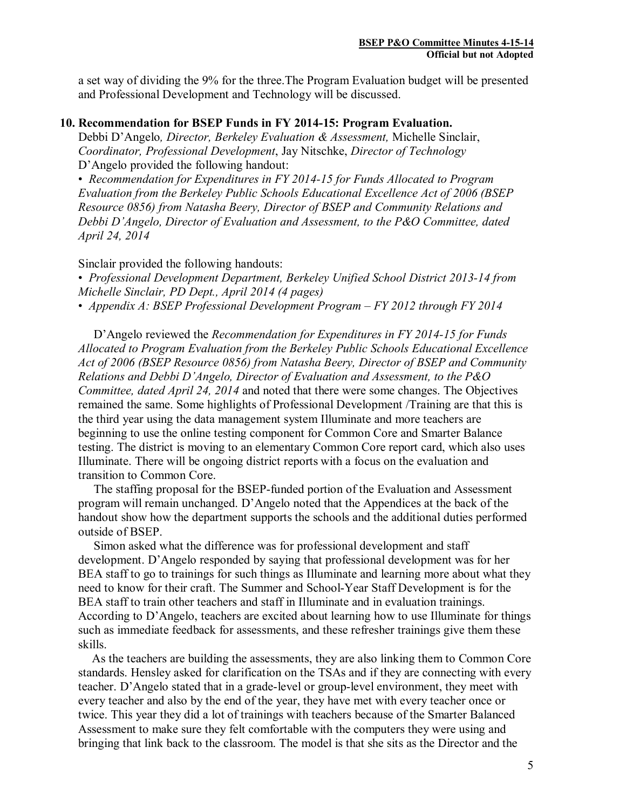a set way of dividing the 9% for the three.The Program Evaluation budget will be presented and Professional Development and Technology will be discussed.

## **10. Recommendation for BSEP Funds in FY 2014-15: Program Evaluation.**

Debbi D'Angelo*, Director, Berkeley Evaluation & Assessment,* Michelle Sinclair, *Coordinator, Professional Development*, Jay Nitschke, *Director of Technology* D'Angelo provided the following handout:

• *Recommendation for Expenditures in FY 2014-15 for Funds Allocated to Program Evaluation from the Berkeley Public Schools Educational Excellence Act of 2006 (BSEP Resource 0856) from Natasha Beery, Director of BSEP and Community Relations and Debbi D'Angelo, Director of Evaluation and Assessment, to the P&O Committee, dated April 24, 2014* 

Sinclair provided the following handouts:

• *Professional Development Department, Berkeley Unified School District 2013-14 from Michelle Sinclair, PD Dept., April 2014 (4 pages)* 

• *Appendix A: BSEP Professional Development Program – FY 2012 through FY 2014* 

 D'Angelo reviewed the *Recommendation for Expenditures in FY 2014-15 for Funds Allocated to Program Evaluation from the Berkeley Public Schools Educational Excellence Act of 2006 (BSEP Resource 0856) from Natasha Beery, Director of BSEP and Community Relations and Debbi D'Angelo, Director of Evaluation and Assessment, to the P&O Committee, dated April 24, 2014* and noted that there were some changes. The Objectives remained the same. Some highlights of Professional Development /Training are that this is the third year using the data management system Illuminate and more teachers are beginning to use the online testing component for Common Core and Smarter Balance testing. The district is moving to an elementary Common Core report card, which also uses Illuminate. There will be ongoing district reports with a focus on the evaluation and transition to Common Core.

 The staffing proposal for the BSEP-funded portion of the Evaluation and Assessment program will remain unchanged. D'Angelo noted that the Appendices at the back of the handout show how the department supports the schools and the additional duties performed outside of BSEP.

 Simon asked what the difference was for professional development and staff development. D'Angelo responded by saying that professional development was for her BEA staff to go to trainings for such things as Illuminate and learning more about what they need to know for their craft. The Summer and School-Year Staff Development is for the BEA staff to train other teachers and staff in Illuminate and in evaluation trainings. According to D'Angelo, teachers are excited about learning how to use Illuminate for things such as immediate feedback for assessments, and these refresher trainings give them these skills.

As the teachers are building the assessments, they are also linking them to Common Core standards. Hensley asked for clarification on the TSAs and if they are connecting with every teacher. D'Angelo stated that in a grade-level or group-level environment, they meet with every teacher and also by the end of the year, they have met with every teacher once or twice. This year they did a lot of trainings with teachers because of the Smarter Balanced Assessment to make sure they felt comfortable with the computers they were using and bringing that link back to the classroom. The model is that she sits as the Director and the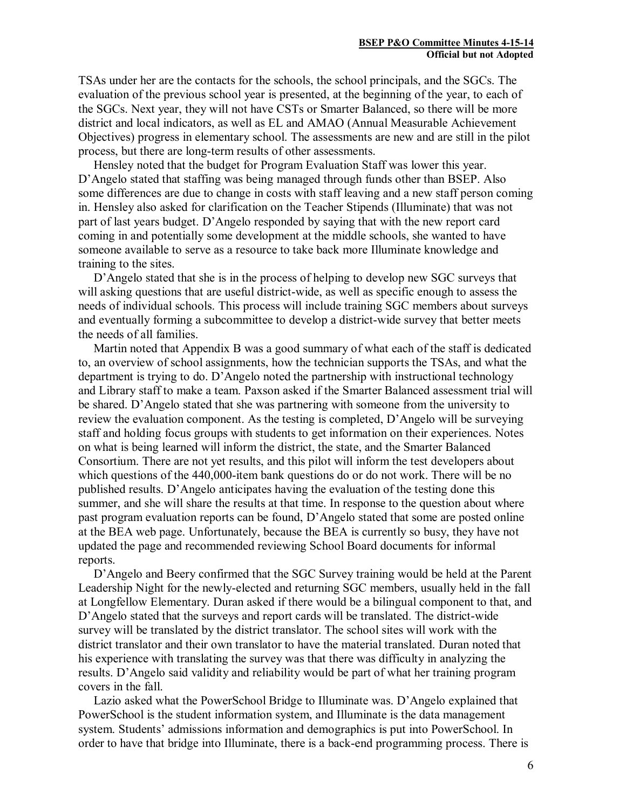TSAs under her are the contacts for the schools, the school principals, and the SGCs. The evaluation of the previous school year is presented, at the beginning of the year, to each of the SGCs. Next year, they will not have CSTs or Smarter Balanced, so there will be more district and local indicators, as well as EL and AMAO (Annual Measurable Achievement Objectives) progress in elementary school. The assessments are new and are still in the pilot process, but there are long-term results of other assessments.

 Hensley noted that the budget for Program Evaluation Staff was lower this year. D'Angelo stated that staffing was being managed through funds other than BSEP. Also some differences are due to change in costs with staff leaving and a new staff person coming in. Hensley also asked for clarification on the Teacher Stipends (Illuminate) that was not part of last years budget. D'Angelo responded by saying that with the new report card coming in and potentially some development at the middle schools, she wanted to have someone available to serve as a resource to take back more Illuminate knowledge and training to the sites.

 D'Angelo stated that she is in the process of helping to develop new SGC surveys that will asking questions that are useful district-wide, as well as specific enough to assess the needs of individual schools. This process will include training SGC members about surveys and eventually forming a subcommittee to develop a district-wide survey that better meets the needs of all families.

 Martin noted that Appendix B was a good summary of what each of the staff is dedicated to, an overview of school assignments, how the technician supports the TSAs, and what the department is trying to do. D'Angelo noted the partnership with instructional technology and Library staff to make a team. Paxson asked if the Smarter Balanced assessment trial will be shared. D'Angelo stated that she was partnering with someone from the university to review the evaluation component. As the testing is completed, D'Angelo will be surveying staff and holding focus groups with students to get information on their experiences. Notes on what is being learned will inform the district, the state, and the Smarter Balanced Consortium. There are not yet results, and this pilot will inform the test developers about which questions of the 440,000-item bank questions do or do not work. There will be no published results. D'Angelo anticipates having the evaluation of the testing done this summer, and she will share the results at that time. In response to the question about where past program evaluation reports can be found, D'Angelo stated that some are posted online at the BEA web page. Unfortunately, because the BEA is currently so busy, they have not updated the page and recommended reviewing School Board documents for informal reports.

 D'Angelo and Beery confirmed that the SGC Survey training would be held at the Parent Leadership Night for the newly-elected and returning SGC members, usually held in the fall at Longfellow Elementary. Duran asked if there would be a bilingual component to that, and D'Angelo stated that the surveys and report cards will be translated. The district-wide survey will be translated by the district translator. The school sites will work with the district translator and their own translator to have the material translated. Duran noted that his experience with translating the survey was that there was difficulty in analyzing the results. D'Angelo said validity and reliability would be part of what her training program covers in the fall.

 Lazio asked what the PowerSchool Bridge to Illuminate was. D'Angelo explained that PowerSchool is the student information system, and Illuminate is the data management system. Students' admissions information and demographics is put into PowerSchool. In order to have that bridge into Illuminate, there is a back-end programming process. There is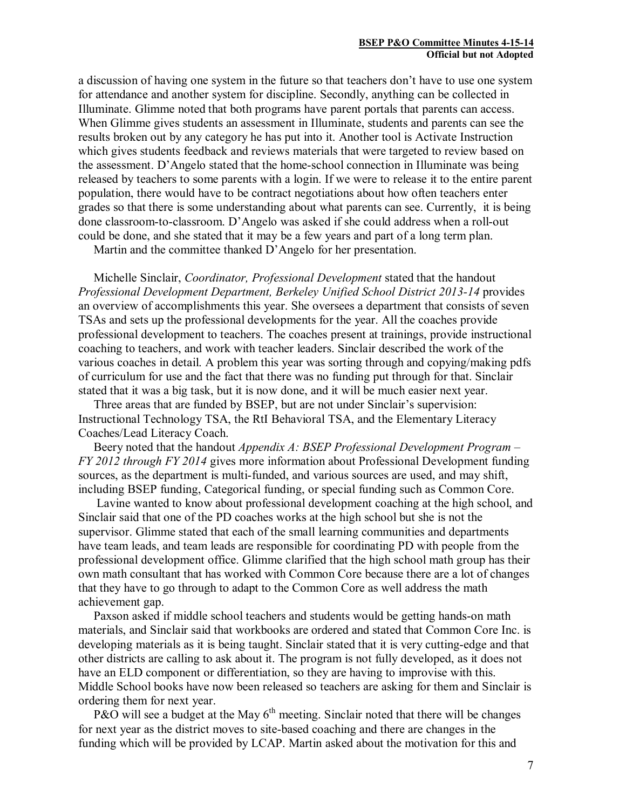a discussion of having one system in the future so that teachers don't have to use one system for attendance and another system for discipline. Secondly, anything can be collected in Illuminate. Glimme noted that both programs have parent portals that parents can access. When Glimme gives students an assessment in Illuminate, students and parents can see the results broken out by any category he has put into it. Another tool is Activate Instruction which gives students feedback and reviews materials that were targeted to review based on the assessment. D'Angelo stated that the home-school connection in Illuminate was being released by teachers to some parents with a login. If we were to release it to the entire parent population, there would have to be contract negotiations about how often teachers enter grades so that there is some understanding about what parents can see. Currently, it is being done classroom-to-classroom. D'Angelo was asked if she could address when a roll-out could be done, and she stated that it may be a few years and part of a long term plan.

Martin and the committee thanked D'Angelo for her presentation.

 Michelle Sinclair, *Coordinator, Professional Development* stated that the handout *Professional Development Department, Berkeley Unified School District 2013-14* provides an overview of accomplishments this year. She oversees a department that consists of seven TSAs and sets up the professional developments for the year. All the coaches provide professional development to teachers. The coaches present at trainings, provide instructional coaching to teachers, and work with teacher leaders. Sinclair described the work of the various coaches in detail. A problem this year was sorting through and copying/making pdfs of curriculum for use and the fact that there was no funding put through for that. Sinclair stated that it was a big task, but it is now done, and it will be much easier next year.

 Three areas that are funded by BSEP, but are not under Sinclair's supervision: Instructional Technology TSA, the RtI Behavioral TSA, and the Elementary Literacy Coaches/Lead Literacy Coach.

 Beery noted that the handout *Appendix A: BSEP Professional Development Program – FY 2012 through FY 2014* gives more information about Professional Development funding sources, as the department is multi-funded, and various sources are used, and may shift, including BSEP funding, Categorical funding, or special funding such as Common Core.

Lavine wanted to know about professional development coaching at the high school, and Sinclair said that one of the PD coaches works at the high school but she is not the supervisor. Glimme stated that each of the small learning communities and departments have team leads, and team leads are responsible for coordinating PD with people from the professional development office. Glimme clarified that the high school math group has their own math consultant that has worked with Common Core because there are a lot of changes that they have to go through to adapt to the Common Core as well address the math achievement gap.

 Paxson asked if middle school teachers and students would be getting hands-on math materials, and Sinclair said that workbooks are ordered and stated that Common Core Inc. is developing materials as it is being taught. Sinclair stated that it is very cutting-edge and that other districts are calling to ask about it. The program is not fully developed, as it does not have an ELD component or differentiation, so they are having to improvise with this. Middle School books have now been released so teachers are asking for them and Sinclair is ordering them for next year.

P&O will see a budget at the May  $6<sup>th</sup>$  meeting. Sinclair noted that there will be changes for next year as the district moves to site-based coaching and there are changes in the funding which will be provided by LCAP. Martin asked about the motivation for this and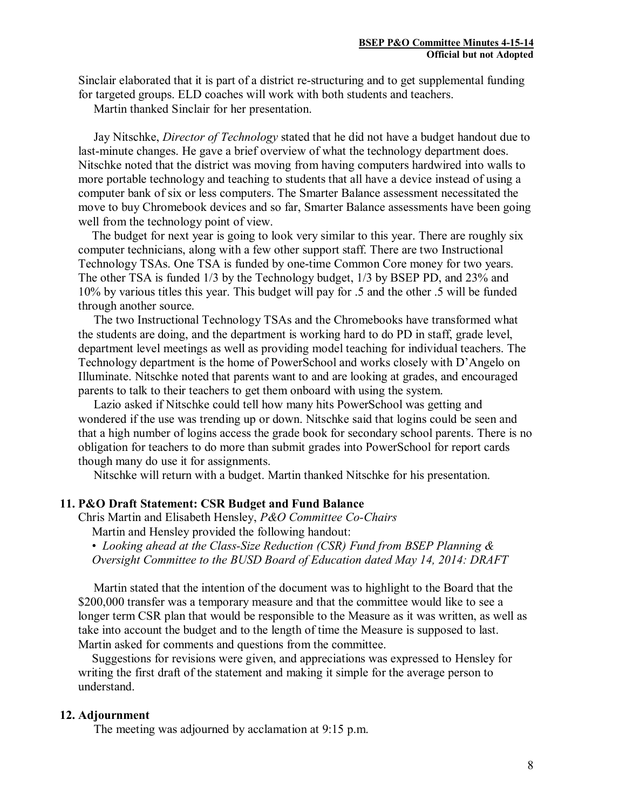Sinclair elaborated that it is part of a district re-structuring and to get supplemental funding for targeted groups. ELD coaches will work with both students and teachers.

Martin thanked Sinclair for her presentation.

 Jay Nitschke, *Director of Technology* stated that he did not have a budget handout due to last-minute changes. He gave a brief overview of what the technology department does. Nitschke noted that the district was moving from having computers hardwired into walls to more portable technology and teaching to students that all have a device instead of using a computer bank of six or less computers. The Smarter Balance assessment necessitated the move to buy Chromebook devices and so far, Smarter Balance assessments have been going well from the technology point of view.

The budget for next year is going to look very similar to this year. There are roughly six computer technicians, along with a few other support staff. There are two Instructional Technology TSAs. One TSA is funded by one-time Common Core money for two years. The other TSA is funded 1/3 by the Technology budget, 1/3 by BSEP PD, and 23% and 10% by various titles this year. This budget will pay for .5 and the other .5 will be funded through another source.

 The two Instructional Technology TSAs and the Chromebooks have transformed what the students are doing, and the department is working hard to do PD in staff, grade level, department level meetings as well as providing model teaching for individual teachers. The Technology department is the home of PowerSchool and works closely with D'Angelo on Illuminate. Nitschke noted that parents want to and are looking at grades, and encouraged parents to talk to their teachers to get them onboard with using the system.

 Lazio asked if Nitschke could tell how many hits PowerSchool was getting and wondered if the use was trending up or down. Nitschke said that logins could be seen and that a high number of logins access the grade book for secondary school parents. There is no obligation for teachers to do more than submit grades into PowerSchool for report cards though many do use it for assignments.

Nitschke will return with a budget. Martin thanked Nitschke for his presentation.

### **11. P&O Draft Statement: CSR Budget and Fund Balance**

Chris Martin and Elisabeth Hensley, *P&O Committee Co-Chairs* Martin and Hensley provided the following handout:

• *Looking ahead at the Class-Size Reduction (CSR) Fund from BSEP Planning & Oversight Committee to the BUSD Board of Education dated May 14, 2014: DRAFT*

 Martin stated that the intention of the document was to highlight to the Board that the \$200,000 transfer was a temporary measure and that the committee would like to see a longer term CSR plan that would be responsible to the Measure as it was written, as well as take into account the budget and to the length of time the Measure is supposed to last. Martin asked for comments and questions from the committee.

Suggestions for revisions were given, and appreciations was expressed to Hensley for writing the first draft of the statement and making it simple for the average person to understand.

### **12. Adjournment**

The meeting was adjourned by acclamation at 9:15 p.m.